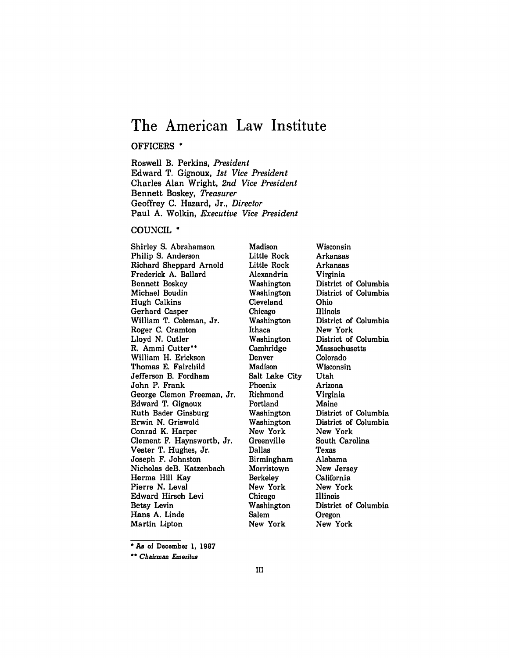# **The American Law Institute**

#### OFFICERS **\***

Roswell B. Perkins, *President* Edward T. Gignoux, *1st Vice President* Charles Alan Wright, *2nd Vice President* Bennett Boskey, *Treasurer* Geoffrey **C.** Hazard, Jr., *Director* Paul **A.** Wolkin, *Executive Vice President*

#### **COUNCIL \***

Shirley **S.** Abrahamson Philip **S.** Anderson Richard Sheppard Arnold Frederick **A.** Ballard Bennett Boskey Michael Boudin Hugh Calkins Gerhard Casper William T. Coleman, Jr. Roger **C.** Cramton Lloyd **N.** Cutler R. Ammi Cutter\*\* William H. Erickson Thomas **E.** Fairchild Jefferson B. Fordham John P. Frank George Clemon Freeman, Jr. Edward T. Gignoux Ruth Bader Ginsburg Erwin **N.** Griswold Conrad K. Harper Clement F. Haynsworth, Jr. Vester T. Hughes, Jr. Joseph F. Johnston Nicholas deB. Katzenbach Herma Hill Kay Pierre N. Leval Edward Hirsch Levi Betsy Levin Hans **A.** Linde Martin Lipton

Madison Little Rock Little Rock Alexandria Washington Washington Cleveland Chicago Washington Ithaca Washington Cambridge Denver Madison Salt Lake City Phoenix Richmond Portland Washington Washington New York Greenville Dallas Birmingham Morristown Berkeley New York Chicago Washington Salem New York

Wisconsin Arkansas Arkansas Virginia District of Columbia District of Columbia Ohio Illinois District of Columbia New York District of Columbia Massachusetts Colorado Wisconsin Utah Arizona Virginia Maine District of Columbia District of Columbia New York South Carolina Texas Alabama New Jersey California New York Illinois District of Columbia Oregon New York

**<sup>\*</sup>As** of December **1, 1987**

*<sup>\*\*</sup> Chairman Emeritus*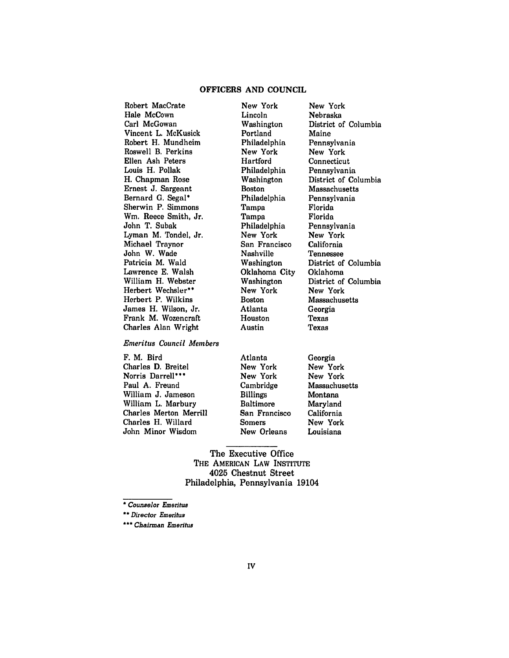### OFFICERS **AND COUNCIL**

Robert MacCrate Hale McCown Carl McGowan Vincent L. McKusick Robert H. Mundheim Roswell B. Perkins Ellen Ash Peters Louis H. Pollak H. Chapman Rose Ernest **J.** Sargeant Bernard **G.** Segal' Sherwin P. Simmons **Wm.** Reece Smith, Jr. John T. Subak Lyman M. Tondel, Jr. Michael Traynor John W. Wade Patricia M. Wald Lawrence **E.** Walsh William H. Webster Herbert Wechsler" Herbert P. Wilkins James H. Wilson, Jr. Frank M. Wozencraft Charles Alan Wright

*Emeritus Council Members*

| F. M. Bird             |  |  |  |
|------------------------|--|--|--|
| Charles D. Breitel     |  |  |  |
| Norris Darrell***      |  |  |  |
| Paul A. Freund         |  |  |  |
| William J. Jameson     |  |  |  |
| William L. Marbury     |  |  |  |
| Charles Merton Merrill |  |  |  |
| Charles H. Willard     |  |  |  |
| John Minor Wisdom      |  |  |  |

New York Lincoln Washington Portland Philadelphia New York Hartford Philadelphia Washington Boston Philadelphia Tampa Tampa Philadelphia New York San Francisco Nashville Washington Oklahoma City Washington New York Boston Atlanta Houston Austin

New York Nebraska District of Columbia Maine Pennsylvania New York **Connecticut** Pennsylvania District of Columbia Massachusetts Pennsylvania Florida Florida Pennsylvania New York California Tennessee District of Columbia Oklahoma District of Columbia New York Massachusetts Georgia Texas Texas

|       | Atlanta          | Georgia       |
|-------|------------------|---------------|
|       | New York         | New York      |
|       | New York         | New York      |
|       | Cambridge        | Massachusetts |
|       | <b>Billings</b>  | Montana       |
|       | <b>Baltimore</b> | Maryland      |
| rrill | San Francisco    | California    |
|       | <b>Somers</b>    | New York      |
| ٦     | New Orleans      | Louisiana     |
|       |                  |               |

The Executive Office THE **AMERICAN** LAW INSTITUTE 4025 Chestnut Street Philadelphia, Pennsylvania 19104

*\* Counselor Emeritus*

*\*\*\* Chairman Emeritus*

*<sup>&</sup>quot;\*Director Emeritus*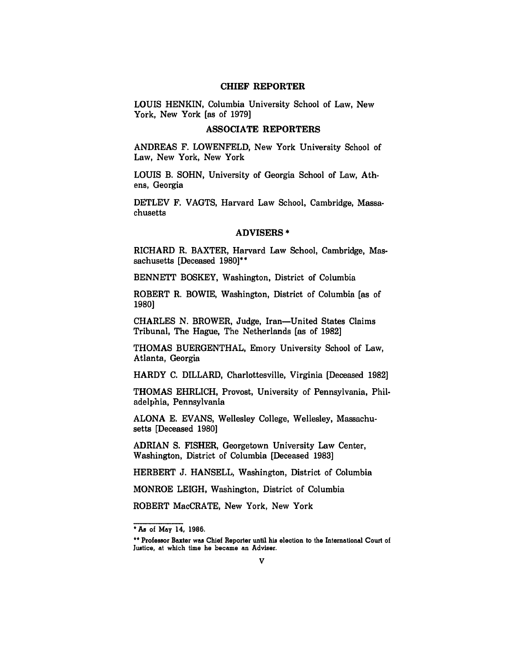#### **CHIEF** REPORTER

LOUIS HENKIN, Columbia University School of Law, New York, New York [as of **1979]**

# **ASSOCIATE** REPORTERS

ANDREAS F. LOWENFELD, New York University School of Law, New York, New York

LOUIS B. SOHN, University of Georgia School of Law, Athens, Georgia

DETLEV F. VAGTS, Harvard Law School, Cambridge, Massachusetts

#### ADVISERS **\***

RICHARD R. BAXTER, Harvard Law School, Cambridge, Massachusetts [Deceased **1980]\*\***

BENNETT BOSKEY, Washington, District of Columbia

ROBERT R. BOWIE, Washington, District of Columbia [as of 1980]

CHARLES **N.** BROWER, Judge, Iran-United States Claims Tribunal, The Hague, The Netherlands [as of **1982]**

THOMAS BUERGENTHAL, Emory University School of Law, Atlanta, Georgia

HARDY C. DILLARD, Charlottesville, Virginia [Deceased **1982]**

THOMAS EHRLICH, Provost, University of Pennsylvania, Philadelphia, Pennsylvania

ALONA E. EVANS, Wellesley College, Wellesley, Massachusetts [Deceased **1980]**

**ADRIAN S.** FISHER, Georgetown University Law Center, Washington, District of Columbia [Deceased **1983]**

HERBERT **J. HANSELL,** Washington, District of Columbia

MONROE LEIGH, Washington, District of Columbia

ROBERT MacCRATE, New York, New York

**<sup>\*</sup>As of May 14, 1986.**

**<sup>•\*</sup> Professor Baxter was Chief Reporter until his election to the** International **Court of Justice, at which time he became an Adviser.**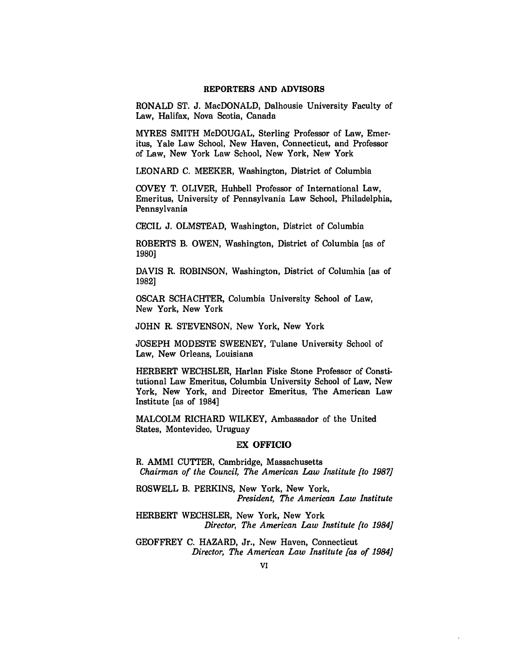#### REPORTERS **AND** ADVISORS

RONALD **ST. J.** MacDONALD, Dalhousie University Faculty of Law, Halifax, Nova Scotia, Canada

MYRES SMITH McDOUGAL, Sterling Professor of Law, Emeritus, Yale Law School, New Haven, Connecticut, and Professor of Law, New York Law School, New York, New York

LEONARD C. MEEKER, Washington, District of Columbia

COVEY T. OLIVER, Hubbell Professor of International Law, Emeritus, University of Pennsylvania Law School, Philadelphia, Pennsylvania

**CECIL** J. OLMSTEAD, Washington, District of Columbia

ROBERTS B. OWEN, Washington, District of Columbia [as of 1980]

DAVIS R. ROBINSON, Washington, District of Columbia [as of 1982]

OSCAR SCHACHTER, Columbia University School of Law, New York, New York

JOHN R. STEVENSON, New York, New York

JOSEPH MODESTE SWEENEY, Tulane University School of Law, New Orleans, Louisiana

HERBERT WECHSLER, Harlan Fiske Stone Professor of Constitutional Law Emeritus, Columbia University School of Law, New York, New York, and Director Emeritus, The American Law Institute [as of 1984]

MALCOLM RICHARD WILKEY, Ambassador of the United States, Montevideo, Uruguay

#### EX OFFICIO

R. AMMI **CUTTER,** Cambridge, Massachusetts *Chairman of the Council, The American Law Institute [to 1987]*

ROSWELL B. PERKINS, New York, New York, *President, The American Law Institute*

HERBERT WECHSLER, New York, New York *Director, The American Law Institute [to 1984]*

GEOFFREY **C.** HAZARD, Jr., New Haven, Connecticut *Director, The American Law Institute [as of 1984]*